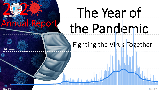# The Year of the Pandemic

An<sup>al</sup> Report

### Fighting the Virus Together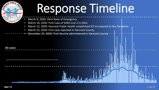

# Response Timeline

- March 9, 2020: Ohio State of Emergency
- March 10, 2020: First Case of SARS-CoV-2 in Ohio
- March 12, 2020: Hancock Public Health established ICS to respond to the Pandemic
- March 22, 2020: First case reported in Hancock County
- December 23, 2020: First Vaccine administered in Hancock County

| ı<br>г<br>г |  |
|-------------|--|
|             |  |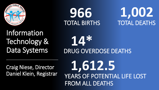

TOTAL BIRTHS TOTAL DEATHS **966 1,002**

Information Technology & Data Systems

DRUG OVERDOSE DEATHS **14\***

Craig Niese, Director Daniel Klein, Registrar

YEARS OF POTENTIAL LIFE LOST FROM ALL DEATHS **1,612.5**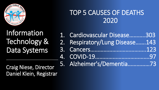

#### TOP 5 CAUSES OF DEATHS 2020

## Information Technology & Data Systems

1. Cardiovascular Disease………..303

- 2. Respiratory/Lung Disease…….143
- 3. Cancers………………………………..123
- 4. COVID-19……………………………….97
- 5. Alzheimer's/Dementia……………73

Craig Niese, Director Daniel Klein, Registrar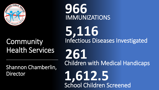

### Community Health Services

Shannon Chamberlin, Director

IMMUNIZATIONS **966**

Infectious Diseases Investigated **5,116**

**261** Children with Medical Handicaps

School Children Screened **1,612.5**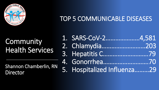

#### TOP 5 COMMUNICABLE DISEASES

## Community Health Services

Shannon Chamberlin, RN Director

| 1. SARS-CoV-24,581          |  |
|-----------------------------|--|
| 2. Chlamydia203             |  |
| 3. Hepatitis C79            |  |
| 4. Gonorrhea70              |  |
| 5. Hospitalized Influenza29 |  |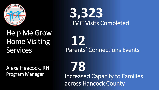

# HMG Visits Completed **3,323**

### Help Me Grow Home Visiting **Services**

Parents' Connections Events **12**

Alexa Heacock, RN Program Manager

Increased Capacity to Families across Hancock County

**78**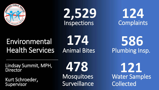





### Environmental Health Services

**174**

Plumbing Insp. **586**

Lindsay Summit, MPH, **Director** 

Kurt Schroeder, Supervisor

**Mosquitoes Surveillance 478**

Water Samples Collected **121**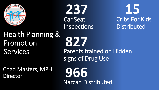

# Car Seat Inspections **237**

**15** Cribs For Kids **Distributed** 

## Health Planning & Promotion Services

Chad Masters, MPH **Director** 

**827** Parents trained on Hidden signs of Drug Use

Narcan Distributed **966**